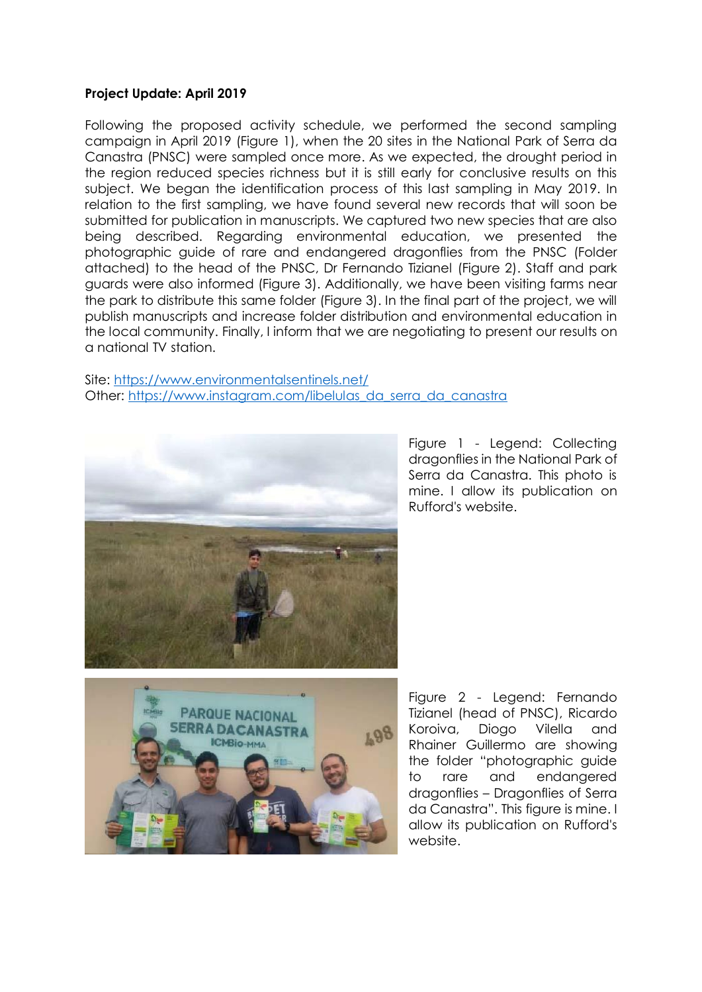## **Project Update: April 2019**

Following the proposed activity schedule, we performed the second sampling campaign in April 2019 (Figure 1), when the 20 sites in the National Park of Serra da Canastra (PNSC) were sampled once more. As we expected, the drought period in the region reduced species richness but it is still early for conclusive results on this subject. We began the identification process of this last sampling in May 2019. In relation to the first sampling, we have found several new records that will soon be submitted for publication in manuscripts. We captured two new species that are also being described. Regarding environmental education, we presented the photographic guide of rare and endangered dragonflies from the PNSC (Folder attached) to the head of the PNSC, Dr Fernando Tizianel (Figure 2). Staff and park guards were also informed (Figure 3). Additionally, we have been visiting farms near the park to distribute this same folder (Figure 3). In the final part of the project, we will publish manuscripts and increase folder distribution and environmental education in the local community. Finally, I inform that we are negotiating to present our results on a national TV station.

## Site:<https://www.environmentalsentinels.net/> Other: [https://www.instagram.com/libelulas\\_da\\_serra\\_da\\_canastra](https://www.instagram.com/libelulas_da_serra_da_canastra)



Figure 1 - Legend: Collecting dragonflies in the National Park of Serra da Canastra. This photo is mine. I allow its publication on Rufford's website.



Figure 2 - Legend: Fernando Tizianel (head of PNSC), Ricardo Koroiva, Diogo Vilella and Rhainer Guillermo are showing the folder "photographic guide to rare and endangered dragonflies – Dragonflies of Serra da Canastra". This figure is mine. I allow its publication on Rufford's website.